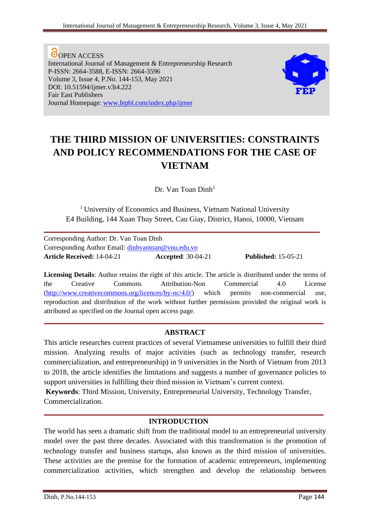**O** OPEN ACCESS International Journal of Management & Entrepreneurship Research P-ISSN: 2664-3588, E-ISSN: 2664-3596 Volume 3, Issue 4, P.No. 144-153, May 2021 DOI: 10.51594/ijmer.v3i4.222 Fair East Publishers Journal Homepage: [www.fepbl.com/index.php/ijmer](http://www.fepbl.com/index.php/ijmer)



# **THE THIRD MISSION OF UNIVERSITIES: CONSTRAINTS AND POLICY RECOMMENDATIONS FOR THE CASE OF VIETNAM**

Dr. Van Toan Dinh<sup>1</sup>

<sup>1</sup> University of Economics and Business, Vietnam National University E4 Building, 144 Xuan Thuy Street, Cau Giay, District, Hanoi, 10000, Vietnam

**\_\_\_\_\_\_\_\_\_\_\_\_\_\_\_\_\_\_\_\_\_\_\_\_\_\_\_\_\_\_\_\_\_\_\_\_\_\_\_\_\_\_\_\_\_\_\_\_\_\_\_\_\_\_\_\_\_\_\_\_\_\_\_\_\_\_\_\_\_\_\_\_\_\_**

Corresponding Author: Dr. Van Toan Dinh Corresponding Author Email: [dinhvantoan@vnu.edu.vn](mailto:dinhvantoan@vnu.edu.vn) **Article Received:** 14-04-21 **Accepted**: 30-04-21 **Published:** 15-05-21

**Licensing Details**: Author retains the right of this article. The article is distributed under the terms of the Creative Commons Attribution-Non Commercial 4.0 License [\(http://www.creativecommons.org/licences/by-nc/4.0/\)](http://www.creativecommons.org/licences/by-nc/4.0/) which permits non-commercial use, reproduction and distribution of the work without further permission provided the original work is attributed as specified on the Journal open access page.

## **ABSTRACT**

**\_\_\_\_\_\_\_\_\_\_\_\_\_\_\_\_\_\_\_\_\_\_\_\_\_\_\_\_\_\_\_\_\_\_\_\_\_\_\_\_\_\_\_\_\_\_\_\_\_\_\_\_\_\_\_\_\_\_\_\_\_\_\_\_\_\_\_\_\_\_\_\_\_\_\_**

This article researches current practices of several Vietnamese universities to fulfill their third mission. Analyzing results of major activities (such as technology transfer, research commercialization, and entrepreneurship) in 9 universities in the North of Vietnam from 2013 to 2018, the article identifies the limitations and suggests a number of governance policies to support universities in fulfilling their third mission in Vietnam's current context.

**Keywords**: Third Mission, University, Entrepreneurial University, Technology Transfer, Commercialization.

#### **INTRODUCTION**

**\_\_\_\_\_\_\_\_\_\_\_\_\_\_\_\_\_\_\_\_\_\_\_\_\_\_\_\_\_\_\_\_\_\_\_\_\_\_\_\_\_\_\_\_\_\_\_\_\_\_\_\_\_\_\_\_\_\_\_\_\_\_\_\_\_\_\_\_\_\_\_\_\_\_\_**

The world has seen a dramatic shift from the traditional model to an entrepreneurial university model over the past three decades. Associated with this transformation is the promotion of technology transfer and business startups, also known as the third mission of universities. These activities are the premise for the formation of academic entrepreneurs, implementing commercialization activities, which strengthen and develop the relationship between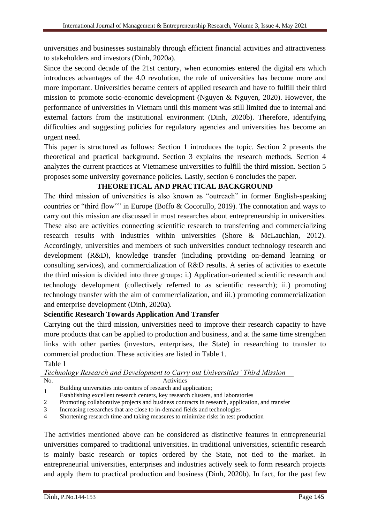universities and businesses sustainably through efficient financial activities and attractiveness to stakeholders and investors (Dinh, 2020a).

Since the second decade of the 21st century, when economies entered the digital era which introduces advantages of the 4.0 revolution, the role of universities has become more and more important. Universities became centers of applied research and have to fulfill their third mission to promote socio-economic development (Nguyen & Nguyen, 2020). However, the performance of universities in Vietnam until this moment was still limited due to internal and external factors from the institutional environment (Dinh, 2020b). Therefore, identifying difficulties and suggesting policies for regulatory agencies and universities has become an urgent need.

This paper is structured as follows: Section 1 introduces the topic. Section 2 presents the theoretical and practical background. Section 3 explains the research methods. Section 4 analyzes the current practices at Vietnamese universities to fulfill the third mission. Section 5 proposes some university governance policies. Lastly, section 6 concludes the paper.

## **THEORETICAL AND PRACTICAL BACKGROUND**

The third mission of universities is also known as "outreach" in former English-speaking countries or "third flow"" in Europe (Boffo & Cocorullo, 2019). The connotation and ways to carry out this mission are discussed in most researches about entrepreneurship in universities. These also are activities connecting scientific research to transferring and commercializing research results with industries within universities (Shore & McLauchlan, 2012). Accordingly, universities and members of such universities conduct technology research and development (R&D), knowledge transfer (including providing on-demand learning or consulting services), and commercialization of R&D results. A series of activities to execute the third mission is divided into three groups: i.) Application-oriented scientific research and technology development (collectively referred to as scientific research); ii.) promoting technology transfer with the aim of commercialization, and iii.) promoting commercialization and enterprise development (Dinh, 2020a).

## **Scientific Research Towards Application And Transfer**

Carrying out the third mission, universities need to improve their research capacity to have more products that can be applied to production and business, and at the same time strengthen links with other parties (investors, enterprises, the State) in researching to transfer to commercial production. These activities are listed in Table 1.

Table 1

*Technology Research and Development to Carry out Universities' Third Mission* No. Activities

| Building universities into centers of research and application;                  |
|----------------------------------------------------------------------------------|
| Establishing excellent research centers, key research clusters, and laboratories |

2 Promoting collaborative projects and business contracts in research, application, and transfer

3 Increasing researches that are close to in-demand fields and technologies

4 Shortening research time and taking measures to minimize risks in test production

The activities mentioned above can be considered as distinctive features in entrepreneurial universities compared to traditional universities. In traditional universities, scientific research is mainly basic research or topics ordered by the State, not tied to the market. In entrepreneurial universities, enterprises and industries actively seek to form research projects and apply them to practical production and business (Dinh, 2020b). In fact, for the past few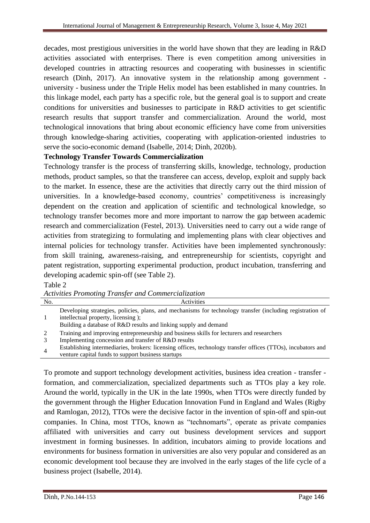decades, most prestigious universities in the world have shown that they are leading in R&D activities associated with enterprises. There is even competition among universities in developed countries in attracting resources and cooperating with businesses in scientific research (Dinh, 2017). An innovative system in the relationship among government university - business under the Triple Helix model has been established in many countries. In this linkage model, each party has a specific role, but the general goal is to support and create conditions for universities and businesses to participate in R&D activities to get scientific research results that support transfer and commercialization. Around the world, most technological innovations that bring about economic efficiency have come from universities through knowledge-sharing activities, cooperating with application-oriented industries to serve the socio-economic demand (Isabelle, 2014; Dinh, 2020b).

#### **Technology Transfer Towards Commercialization**

Technology transfer is the process of transferring skills, knowledge, technology, production methods, product samples, so that the transferee can access, develop, exploit and supply back to the market. In essence, these are the activities that directly carry out the third mission of universities. In a knowledge-based economy, countries' competitiveness is increasingly dependent on the creation and application of scientific and technological knowledge, so technology transfer becomes more and more important to narrow the gap between academic research and commercialization (Festel, 2013). Universities need to carry out a wide range of activities from strategizing to formulating and implementing plans with clear objectives and internal policies for technology transfer. Activities have been implemented synchronously: from skill training, awareness-raising, and entrepreneurship for scientists, copyright and patent registration, supporting experimental production, product incubation, transferring and developing academic spin-off (see Table 2).

| Activities Promoting Transfer and Commercialization |                                                                                                                                                                                                                     |  |  |
|-----------------------------------------------------|---------------------------------------------------------------------------------------------------------------------------------------------------------------------------------------------------------------------|--|--|
| No.                                                 | Activities                                                                                                                                                                                                          |  |  |
|                                                     | Developing strategies, policies, plans, and mechanisms for technology transfer (including registration of<br>intellectual property, licensing);<br>Building a database of R&D results and linking supply and demand |  |  |
|                                                     | Training and improving entrepreneurship and business skills for lecturers and researchers                                                                                                                           |  |  |
|                                                     | Implementing concession and transfer of R&D results                                                                                                                                                                 |  |  |
| 4                                                   | Establishing intermediaries, brokers: licensing offices, technology transfer offices (TTOs), incubators and<br>venture capital funds to support business startups                                                   |  |  |

Table 2

To promote and support technology development activities, business idea creation - transfer formation, and commercialization, specialized departments such as TTOs play a key role. Around the world, typically in the UK in the late 1990s, when TTOs were directly funded by the government through the Higher Education Innovation Fund in England and Wales (Rigby and Ramlogan, 2012), TTOs were the decisive factor in the invention of spin-off and spin-out companies. In China, most TTOs, known as "technomarts", operate as private companies affiliated with universities and carry out business development services and support investment in forming businesses. In addition, incubators aiming to provide locations and environments for business formation in universities are also very popular and considered as an economic development tool because they are involved in the early stages of the life cycle of a business project (Isabelle, 2014).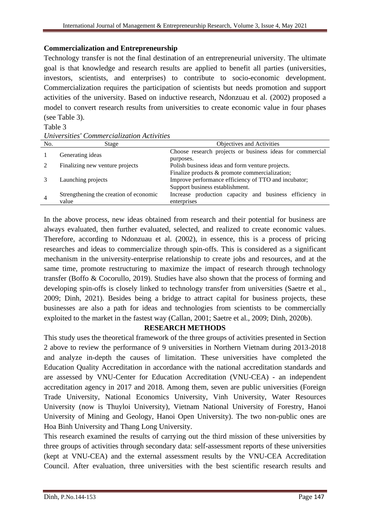## **Commercialization and Entrepreneurship**

Technology transfer is not the final destination of an entrepreneurial university. The ultimate goal is that knowledge and research results are applied to benefit all parties (universities, investors, scientists, and enterprises) to contribute to socio-economic development. Commercialization requires the participation of scientists but needs promotion and support activities of the university. Based on inductive research, Ndonzuau et al. (2002) proposed a model to convert research results from universities to create economic value in four phases (see Table 3).

## Table 3

| No.            | Stage                                           | <b>Objectives and Activities</b>                                                                   |
|----------------|-------------------------------------------------|----------------------------------------------------------------------------------------------------|
|                | Generating ideas                                | Choose research projects or business ideas for commercial<br>purposes.                             |
|                | Finalizing new venture projects                 | Polish business ideas and form venture projects.<br>Finalize products & promote commercialization; |
|                | Launching projects                              | Improve performance efficiency of TTO and incubator;<br>Support business establishment.            |
| $\overline{4}$ | Strengthening the creation of economic<br>value | Increase production capacity and business efficiency in<br>enterprises                             |

*Universities' Commercialization Activities* 

In the above process, new ideas obtained from research and their potential for business are always evaluated, then further evaluated, selected, and realized to create economic values. Therefore, according to Ndonzuau et al. (2002), in essence, this is a process of pricing researches and ideas to commercialize through spin-offs. This is considered as a significant mechanism in the university-enterprise relationship to create jobs and resources, and at the same time, promote restructuring to maximize the impact of research through technology transfer (Boffo & Cocorullo, 2019). Studies have also shown that the process of forming and developing spin-offs is closely linked to technology transfer from universities (Saetre et al., 2009; Dinh, 2021). Besides being a bridge to attract capital for business projects, these businesses are also a path for ideas and technologies from scientists to be commercially exploited to the market in the fastest way (Callan, 2001; Saetre et al., 2009; Dinh, 2020b).

## **RESEARCH METHODS**

This study uses the theoretical framework of the three groups of activities presented in Section 2 above to review the performance of 9 universities in Northern Vietnam during 2013-2018 and analyze in-depth the causes of limitation. These universities have completed the Education Quality Accreditation in accordance with the national accreditation standards and are assessed by VNU-Center for Education Accreditation (VNU-CEA) - an independent accreditation agency in 2017 and 2018. Among them, seven are public universities (Foreign Trade University, National Economics University, Vinh University, Water Resources University (now is Thuyloi University), Vietnam National University of Forestry, Hanoi University of Mining and Geology, Hanoi Open University). The two non-public ones are Hoa Binh University and Thang Long University.

This research examined the results of carrying out the third mission of these universities by three groups of activities through secondary data: self-assessment reports of these universities (kept at VNU-CEA) and the external assessment results by the VNU-CEA Accreditation Council. After evaluation, three universities with the best scientific research results and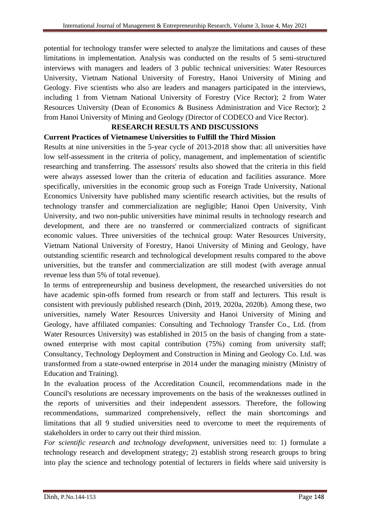potential for technology transfer were selected to analyze the limitations and causes of these limitations in implementation. Analysis was conducted on the results of 5 semi-structured interviews with managers and leaders of 3 public technical universities: Water Resources University, Vietnam National University of Forestry, Hanoi University of Mining and Geology. Five scientists who also are leaders and managers participated in the interviews, including 1 from Vietnam National University of Forestry (Vice Rector); 2 from Water Resources University (Dean of Economics & Business Administration and Vice Rector); 2 from Hanoi University of Mining and Geology (Director of CODECO and Vice Rector).

#### **RESEARCH RESULTS AND DISCUSSIONS**

#### **Current Practices of Vietnamese Universities to Fulfill the Third Mission**

Results at nine universities in the 5-year cycle of 2013-2018 show that: all universities have low self-assessment in the criteria of policy, management, and implementation of scientific researching and transferring. The assessors' results also showed that the criteria in this field were always assessed lower than the criteria of education and facilities assurance. More specifically, universities in the economic group such as Foreign Trade University, National Economics University have published many scientific research activities, but the results of technology transfer and commercialization are negligible; Hanoi Open University, Vinh University, and two non-public universities have minimal results in technology research and development, and there are no transferred or commercialized contracts of significant economic values. Three universities of the technical group: Water Resources University, Vietnam National University of Forestry, Hanoi University of Mining and Geology, have outstanding scientific research and technological development results compared to the above universities, but the transfer and commercialization are still modest (with average annual revenue less than 5% of total revenue).

In terms of entrepreneurship and business development, the researched universities do not have academic spin-offs formed from research or from staff and lecturers. This result is consistent with previously published research (Dinh, 2019, 2020a, 2020b). Among these, two universities, namely Water Resources University and Hanoi University of Mining and Geology, have affiliated companies: Consulting and Technology Transfer Co., Ltd. (from Water Resources University) was established in 2015 on the basis of changing from a stateowned enterprise with most capital contribution (75%) coming from university staff; Consultancy, Technology Deployment and Construction in Mining and Geology Co. Ltd. was transformed from a state-owned enterprise in 2014 under the managing ministry (Ministry of Education and Training).

In the evaluation process of the Accreditation Council, recommendations made in the Council's resolutions are necessary improvements on the basis of the weaknesses outlined in the reports of universities and their independent assessors. Therefore, the following recommendations, summarized comprehensively, reflect the main shortcomings and limitations that all 9 studied universities need to overcome to meet the requirements of stakeholders in order to carry out their third mission.

*For scientific research and technology development*, universities need to: 1) formulate a technology research and development strategy; 2) establish strong research groups to bring into play the science and technology potential of lecturers in fields where said university is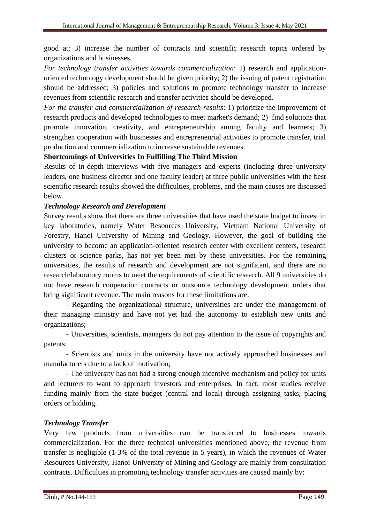good at; 3) increase the number of contracts and scientific research topics ordered by organizations and businesses.

*For technology transfer activities towards commercialization*: 1) research and applicationoriented technology development should be given priority; 2) the issuing of patent registration should be addressed; 3) policies and solutions to promote technology transfer to increase revenues from scientific research and transfer activities should be developed.

*For the transfer and commercialization of research results*: 1) prioritize the improvement of research products and developed technologies to meet market's demand; 2) find solutions that promote innovation, creativity, and entrepreneurship among faculty and learners; 3) strengthen cooperation with businesses and entrepreneurial activities to promote transfer, trial production and commercialization to increase sustainable revenues.

#### **Shortcomings of Universities In Fulfilling The Third Mission**

Results of in-depth interviews with five managers and experts (including three university leaders, one business director and one faculty leader) at three public universities with the best scientific research results showed the difficulties, problems, and the main causes are discussed below.

#### *Technology Research and Development*

Survey results show that there are three universities that have used the state budget to invest in key laboratories, namely Water Resources University, Vietnam National University of Forestry, Hanoi University of Mining and Geology. However, the goal of building the university to become an application-oriented research center with excellent centers, research clusters or science parks, has not yet been met by these universities. For the remaining universities, the results of research and development are not significant, and there are no research/laboratory rooms to meet the requirements of scientific research. All 9 universities do not have research cooperation contracts or outsource technology development orders that bring significant revenue. The main reasons for these limitations are:

- Regarding the organizational structure, universities are under the management of their managing ministry and have not yet had the autonomy to establish new units and organizations;

- Universities, scientists, managers do not pay attention to the issue of copyrights and patents;

- Scientists and units in the university have not actively approached businesses and manufacturers due to a lack of motivation;

- The university has not had a strong enough incentive mechanism and policy for units and lecturers to want to approach investors and enterprises. In fact, most studies receive funding mainly from the state budget (central and local) through assigning tasks, placing orders or bidding.

#### *Technology Transfer*

Very few products from universities can be transferred to businesses towards commercialization. For the three technical universities mentioned above, the revenue from transfer is negligible (1-3% of the total revenue in 5 years), in which the revenues of Water Resources University, Hanoi University of Mining and Geology are mainly from consultation contracts. Difficulties in promoting technology transfer activities are caused mainly by: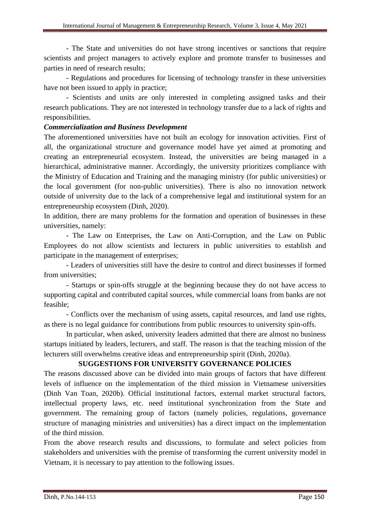- The State and universities do not have strong incentives or sanctions that require scientists and project managers to actively explore and promote transfer to businesses and parties in need of research results;

- Regulations and procedures for licensing of technology transfer in these universities have not been issued to apply in practice;

- Scientists and units are only interested in completing assigned tasks and their research publications. They are not interested in technology transfer due to a lack of rights and responsibilities.

## *Commercialization and Business Development*

The aforementioned universities have not built an ecology for innovation activities. First of all, the organizational structure and governance model have yet aimed at promoting and creating an entrepreneurial ecosystem. Instead, the universities are being managed in a hierarchical, administrative manner. Accordingly, the university prioritizes compliance with the Ministry of Education and Training and the managing ministry (for public universities) or the local government (for non-public universities). There is also no innovation network outside of university due to the lack of a comprehensive legal and institutional system for an entrepreneurship ecosystem (Dinh, 2020).

In addition, there are many problems for the formation and operation of businesses in these universities, namely:

- The Law on Enterprises, the Law on Anti-Corruption, and the Law on Public Employees do not allow scientists and lecturers in public universities to establish and participate in the management of enterprises;

- Leaders of universities still have the desire to control and direct businesses if formed from universities;

- Startups or spin-offs struggle at the beginning because they do not have access to supporting capital and contributed capital sources, while commercial loans from banks are not feasible;

- Conflicts over the mechanism of using assets, capital resources, and land use rights, as there is no legal guidance for contributions from public resources to university spin-offs.

In particular, when asked, university leaders admitted that there are almost no business startups initiated by leaders, lecturers, and staff. The reason is that the teaching mission of the lecturers still overwhelms creative ideas and entrepreneurship spirit (Dinh, 2020a).

## **SUGGESTIONS FOR UNIVERSITY GOVERNANCE POLICIES**

The reasons discussed above can be divided into main groups of factors that have different levels of influence on the implementation of the third mission in Vietnamese universities (Dinh Van Toan, 2020b). Official institutional factors, external market structural factors, intellectual property laws, etc. need institutional synchronization from the State and government. The remaining group of factors (namely policies, regulations, governance structure of managing ministries and universities) has a direct impact on the implementation of the third mission.

From the above research results and discussions, to formulate and select policies from stakeholders and universities with the premise of transforming the current university model in Vietnam, it is necessary to pay attention to the following issues.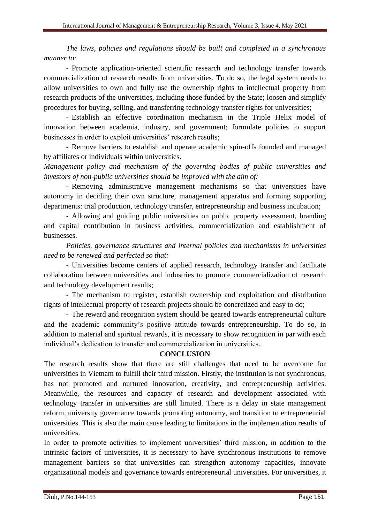*The laws, policies and regulations should be built and completed in a synchronous manner to:*

- Promote application-oriented scientific research and technology transfer towards commercialization of research results from universities. To do so, the legal system needs to allow universities to own and fully use the ownership rights to intellectual property from research products of the universities, including those funded by the State; loosen and simplify procedures for buying, selling, and transferring technology transfer rights for universities;

- Establish an effective coordination mechanism in the Triple Helix model of innovation between academia, industry, and government; formulate policies to support businesses in order to exploit universities' research results;

- Remove barriers to establish and operate academic spin-offs founded and managed by affiliates or individuals within universities.

*Management policy and mechanism of the governing bodies of public universities and investors of non-public universities should be improved with the aim of:*

- Removing administrative management mechanisms so that universities have autonomy in deciding their own structure, management apparatus and forming supporting departments: trial production, technology transfer, entrepreneurship and business incubation;

- Allowing and guiding public universities on public property assessment, branding and capital contribution in business activities, commercialization and establishment of businesses.

*Policies, governance structures and internal policies and mechanisms in universities need to be renewed and perfected so that:*

- Universities become centers of applied research, technology transfer and facilitate collaboration between universities and industries to promote commercialization of research and technology development results;

- The mechanism to register, establish ownership and exploitation and distribution rights of intellectual property of research projects should be concretized and easy to do;

- The reward and recognition system should be geared towards entrepreneurial culture and the academic community's positive attitude towards entrepreneurship. To do so, in addition to material and spiritual rewards, it is necessary to show recognition in par with each individual's dedication to transfer and commercialization in universities.

#### **CONCLUSION**

The research results show that there are still challenges that need to be overcome for universities in Vietnam to fulfill their third mission. Firstly, the institution is not synchronous, has not promoted and nurtured innovation, creativity, and entrepreneurship activities. Meanwhile, the resources and capacity of research and development associated with technology transfer in universities are still limited. There is a delay in state management reform, university governance towards promoting autonomy, and transition to entrepreneurial universities. This is also the main cause leading to limitations in the implementation results of universities.

In order to promote activities to implement universities' third mission, in addition to the intrinsic factors of universities, it is necessary to have synchronous institutions to remove management barriers so that universities can strengthen autonomy capacities, innovate organizational models and governance towards entrepreneurial universities. For universities, it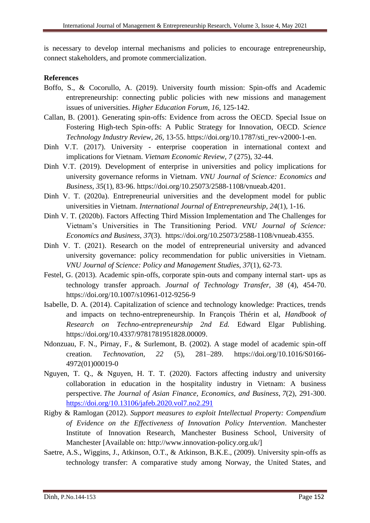is necessary to develop internal mechanisms and policies to encourage entrepreneurship, connect stakeholders, and promote commercialization.

#### **References**

- Boffo, S., & Cocorullo, A. (2019). University fourth mission: Spin-offs and Academic entrepreneurship: connecting public policies with new missions and management issues of universities. *Higher Education Forum, 16,* 125-142.
- Callan, B. (2001). Generating spin-offs: Evidence from across the OECD. Special Issue on Fostering High-tech Spin-offs: A Public Strategy for Innovation, OECD. *Science Technology Industry Review, 26,* 13-55. [https://doi.org/10.1787/sti\\_rev-v2000-1-en.](https://doi.org/10.1787/sti_rev-v2000-1-en)
- Dinh V.T. (2017). University enterprise cooperation in international context and implications for Vietnam. *Vietnam Economic Review, 7* (275), 32-44.
- Dinh V.T. (2019). Development of enterprise in universities and policy implications for university governance reforms in Vietnam. *VNU Journal of Science: Economics and Business, 35*(1), 83-96. https://doi.org/10.25073/2588-1108/vnueab.4201.
- Dinh V. T. (2020a). Entrepreneurial universities and the development model for public universities in Vietnam. *International Journal of Entrepreneurship, 24*(1), 1-16.
- Dinh V. T. (2020b). Factors Affecting Third Mission Implementation and The Challenges for Vietnam's Universities in The Transitioning Period. *VNU Journal of Science: Economics and Business, 37*(3). [https://doi.org/10.25073/2588-1108/vnueab.4355.](https://doi.org/10.25073/2588-1108/vnueab.4355)
- Dinh V. T. (2021). Research on the model of entrepreneurial university and advanced university governance: policy recommendation for public universities in Vietnam. *VNU Journal of Science: Policy and Management Studies, 37*(1), 62-73.
- Festel, G. (2013). Academic spin-offs, corporate spin-outs and company internal start- ups as technology transfer approach. *Journal of Technology Transfer, 38* (4), 454-70. <https://doi.org/10.1007/s10961-012-9256-9>
- Isabelle, D. A. (2014). Capitalization of science and technology knowledge: Practices, trends and impacts on techno-entrepreneurship. In François Thérin et al, *Handbook of Research on Techno-entrepreneurship 2nd Ed.* Edward Elgar Publishing. [https://doi.org/10.4337/9781781951828.00009.](https://doi.org/10.4337/9781781951828.00009)
- Ndonzuau, F. N., Pirnay, F., & Surlemont, B. (2002). A stage model of academic spin-off creation. *Technovation, 22* (5), 281–289. [https://doi.org/10.1016/S0166-](https://doi.org/10.1016/S0166-4972(01)00019-0) [4972\(01\)00019-0](https://doi.org/10.1016/S0166-4972(01)00019-0)
- Nguyen, T. Q., & Nguyen, H. T. T. (2020). Factors affecting industry and university collaboration in education in the hospitality industry in Vietnam: A business perspective. *The Journal of Asian Finance, Economics, and Business*, *7*(2), 291-300. <https://doi.org/10.13106/jafeb.2020.vol7.no2.291>
- Rigby & Ramlogan (2012). *Support measures to exploit Intellectual Property: Compendium of Evidence on the Effectiveness of Innovation Policy Intervention*. Manchester Institute of Innovation Research, Manchester Business School, University of Manchester [Available on: [http://www.innovation-policy.org.uk/\]](http://www.innovation-policy.org.uk/)
- Saetre, A.S., Wiggins, J., Atkinson, O.T., & Atkinson, B.K.E., (2009). University spin-offs as technology transfer: A comparative study among Norway, the United States, and